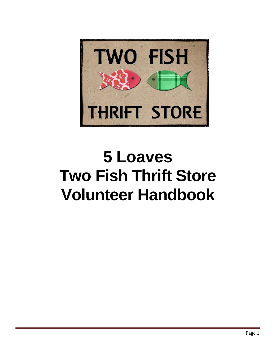

# **5 Loaves Two Fish Thrift Store Volunteer Handbook**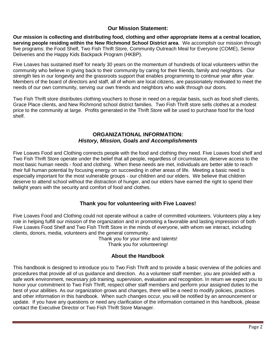## **Our Mission Statement:**

**Our mission is collecting and distributing food, clothing and other appropriate items at a central location, serving people residing within the New Richmond School District area**. We accomplish our mission through five programs: the Food Shelf, Two Fish Thrift Store, Community Outreach Meal for Everyone (COME), Senior Deliveries and the Happy Kids Backpack Program (HKBP).

Five Loaves has sustained itself for nearly 30 years on the momentum of hundreds of local volunteers within the community who believe in giving back to their community by caring for their friends, family and neighbors. Our strength lies in our longevity and the grassroots support that enables programming to continue year after year. Members of the board of directors and staff, all of whom are local citizens, are passionately motivated to meet the needs of our own community, serving our own friends and neighbors who walk through our doors.

Two Fish Thrift store distributes clothing vouchers to those in need on a regular basis, such as food shelf clients, Grace Place clients, and New Richmond school district families. Two Fish Thrift store sells clothes at a modest price to the community at large. Profits generated in the Thrift Store will be used to purchase food for the food shelf.

# **ORGANIZATIONAL INFORMATION:** *History, Mission, Goals and Accomplishments*

Five Loaves Food and Clothing connects people with the food and clothing they need. Five Loaves food shelf and Two Fish Thrift Store operate under the belief that all people, regardless of circumstance, deserve access to the most basic human needs - food and clothing. When these needs are met, individuals are better able to reach their full human potential by focusing energy on succeeding in other areas of life. Meeting a basic need is especially important for the most vulnerable groups - our children and our elders. We believe that children deserve to attend school without the distraction of hunger, and our elders have earned the right to spend their twilight years with the security and comfort of food and clothes.

# **Thank you for volunteering with Five Loaves!**

Five Loaves Food and Clothing could not operate without a cadre of committed volunteers. Volunteers play a key role in helping fulfill our mission of the organization and in promoting a favorable and lasting impression of both Five Loaves Food Shelf and Two Fish Thrift Store in the minds of everyone, with whom we interact, including clients, donors, media, volunteers and the general community.

Thank you for your time and talents! Thank you for volunteering!

# **About the Handbook**

This handbook is designed to introduce you to Two Fish Thrift and to provide a basic overview of the policies and procedures that provide all of us guidance and direction. As a volunteer staff member, you are provided with a safe work environment, necessary job training, supervision, evaluation and recognition. In return we expect you to honor your commitment to Two Fish Thrift, respect other staff members and perform your assigned duties to the best of your abilities. As our organization grows and changes, there will be a need to modify policies, practices and other information in this handbook. When such changes occur, you will be notified by an announcement or update. If you have any questions or need any clarification of the information contained in this handbook, please contact the Executive Director or Two Fish Thrift Store Manager.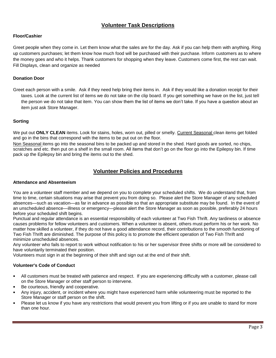# **Volunteer Task Descriptions**

#### **Floor/Cashier**

Greet people when they come in. Let them know what the sales are for the day. Ask if you can help them with anything. Ring up customers purchases; let them know how much food will be purchased with their purchase. Inform customers as to where the money goes and who it helps. Thank customers for shopping when they leave. Customers come first, the rest can wait. Fill Displays, clean and organize as needed

#### **Donation Door**

Greet each person with a smile. Ask if they need help bring their items in. Ask if they would like a donation receipt for their taxes. Look at the current list of items we do not take on the clip board. If you get something we have on the list, just tell the person we do not take that item. You can show them the list of items we don't take. If you have a question about an item just ask Store Manager.

#### **Sorting**

We put out **ONLY CLEAN** items. Look for stains, holes, worn out, pilled or smelly. Current Seasonal clean items get folded and go in the bins that correspond with the items to be put out on the floor.

Non Seasonal items go into the seasonal bins to be packed up and stored in the shed. Hard goods are sorted, no chips, scratches and etc. then put on a shelf in the small room. All items that don't go on the floor go into the Epilepsy bin. If time pack up the Epilepsy bin and bring the items out to the shed.

### **Volunteer Policies and Procedures**

#### **Attendance and Absenteeism**

You are a volunteer staff member and we depend on you to complete your scheduled shifts. We do understand that, from time to time, certain situations may arise that prevent you from doing so. Please alert the Store Manager of any scheduled absences—such as vacation—as far in advance as possible so that an appropriate substitute may be found. In the event of an unscheduled absence—illness or emergency—please alert the Store Manager as soon as possible, preferably 24 hours before your scheduled shift begins.

Punctual and regular attendance is an essential responsibility of each volunteer at Two Fish Thrift. Any tardiness or absence causes problems for fellow volunteers and customers. When a volunteer is absent, others must perform his or her work. No matter how skilled a volunteer, if they do not have a good attendance record, their contributions to the smooth functioning of Two Fish Thrift are diminished. The purpose of this policy is to promote the efficient operation of Two Fish Thrift and minimize unscheduled absences.

Any volunteer who fails to report to work without notification to his or her supervisor three shifts or more will be considered to have voluntarily terminated their position.

Volunteers must sign in at the beginning of their shift and sign out at the end of their shift.

#### **Volunteer's Code of Conduct**

- All customers must be treated with patience and respect. If you are experiencing difficulty with a customer, please call on the Store Manager or other staff person to intervene.
- Be courteous, friendly and cooperative.
- Any injury, accident, or incident where you might have experienced harm while volunteering must be reported to the Store Manager or staff person on the shift.
- Please let us know if you have any restrictions that would prevent you from lifting or if you are unable to stand for more than one hour.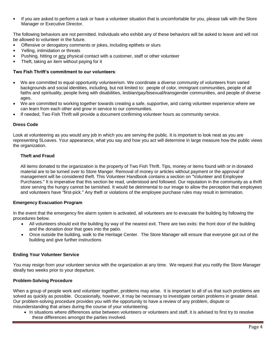• If you are asked to perform a task or have a volunteer situation that is uncomfortable for you, please talk with the Store Manager or Executive Director.

The following behaviors are not permitted. Individuals who exhibit any of these behaviors will be asked to leave and will not be allowed to volunteer in the future.

- Offensive or derogatory comments or jokes, including epithets or slurs
- Yelling, intimidation or threats
- Pushing, hitting or any physical contact with a customer, staff or other volunteer
- Theft, taking an item without paying for it

#### **Two Fish Thrift's commitment to our volunteers**:

- We are committed to equal opportunity volunteerism. We coordinate a diverse community of volunteers from varied backgrounds and social identities, including, but not limited to: people of color, immigrant communities, people of all faiths and spirituality, people living with disabilities, lesbian/gay/bisexual/transgender communities, and people of diverse ages.
- We are committed to working together towards creating a safe, supportive, and caring volunteer experience where we can learn from each other and grow in service to our communities.
- If needed, Two Fish Thrift will provide a document confirming volunteer hours as community service.

#### **Dress Code**

Look at volunteering as you would any job in which you are serving the public. It is important to look neat as you are representing 5Loaves. Your appearance, what you say and how you act will determine in large measure how the public views the organization.

#### **Theft and Fraud**

All items donated to the organization is the property of Two Fish Thrift. Tips, money or items found with or in donated material are to be turned over to Store Manger. Removal of money or articles without payment or the approval of management will be considered theft. This Volunteer Handbook contains a section on "Volunteer and Employee Purchases." It is imperative that this section be read, understood and followed. Our reputation in the community as a thrift store serving the hungry cannot be tarnished. It would be detrimental to our image to allow the perception that employees and volunteers have "first-pick." Any theft or violations of the employee purchase rules may result in termination.

#### **Emergency Evacuation Program**

In the event that the emergency fire alarm system is activated, all volunteers are to evacuate the building by following the procedures below.

- All volunteers should exit the building by way of the nearest exit. There are two exits: the front door of the building and the donation door that goes into the patio.
- Once outside the building, walk to the Heritage Center. The Store Manager will ensure that everyone got out of the building and give further instructions

#### **Ending Your Volunteer Service**

You may resign from your volunteer service with the organization at any time. We request that you notify the Store Manager ideally two weeks prior to your departure.

#### **Problem-Solving Procedure**

When a group of people work and volunteer together, problems may arise. It is important to all of us that such problems are solved as quickly as possible. Occasionally, however, it may be necessary to investigate certain problems in greater detail. Our problem-solving procedure provides you with the opportunity to have a review of any problem, dispute or misunderstanding that arises during the course of your volunteering.

• In situations where differences arise between volunteers or volunteers and staff, it is advised to first try to resolve these differences amongst the parties involved.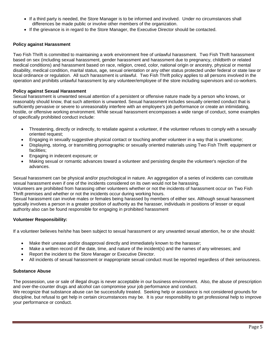- If a third party is needed, the Store Manager is to be informed and involved. Under no circumstances shall differences be made public or involve other members of the organization.
- If the grievance is in regard to the Store Manager, the Executive Director should be contacted.

#### **Policy against Harassment**

Two Fish Thrift is committed to maintaining a work environment free of unlawful harassment. Two Fish Thrift harassment based on sex (including sexual harassment, gender harassment and harassment due to pregnancy, childbirth or related medical conditions) and harassment based on race, religion, creed, color, national origin or ancestry, physical or mental disability, medical condition, marital status, age, sexual orientation or any other status protected under federal or state law or local ordinance or regulation. All such harassment is unlawful. Two Fish Thrift policy applies to all persons involved in the operation and prohibits unlawful harassment by any volunteer/employee of the store including supervisors and co-workers.

#### **Policy against Sexual Harassment**

Sexual harassment is unwanted sexual attention of a persistent or offensive nature made by a person who knows, or reasonably should know, that such attention is unwanted. Sexual harassment includes sexually oriented conduct that is sufficiently pervasive or severe to unreasonably interfere with an employee's job performance or create an intimidating, hostile, or offensive working environment. While sexual harassment encompasses a wide range of conduct, some examples of specifically prohibited conduct include:

- Threatening, directly or indirectly, to retaliate against a volunteer, if the volunteer refuses to comply with a sexually oriented request;
- Engaging in sexually suggestive physical contact or touching another volunteer in a way that is unwelcome;
- Displaying, storing, or transmitting pornographic or sexually oriented materials using Two Fish Thrift equipment or facilities;
- Engaging in indecent exposure; or
- Making sexual or romantic advances toward a volunteer and persisting despite the volunteer's rejection of the advances.

Sexual harassment can be physical and/or psychological in nature. An aggregation of a series of incidents can constitute sexual harassment even if one of the incidents considered on its own would not be harassing.

Volunteers are prohibited from harassing other volunteers whether or not the incidents of harassment occur on Two Fish Thrift premises and whether or not the incidents occur during working hours.

Sexual harassment can involve males or females being harassed by members of either sex. Although sexual harassment typically involves a person in a greater position of authority as the harasser, individuals in positions of lesser or equal authority also can be found responsible for engaging in prohibited harassment

#### **Volunteer Responsibility:**

If a volunteer believes he/she has been subject to sexual harassment or any unwanted sexual attention, he or she should:

- Make their unease and/or disapproval directly and immediately known to the harasser;
- Make a written record of the date, time, and nature of the incident(s) and the names of any witnesses; and
- Report the incident to the Store Manager or Executive Director.
- All incidents of sexual harassment or inappropriate sexual conduct must be reported regardless of their seriousness.

#### **Substance Abuse**

The possession, use or sale of illegal drugs is never acceptable in our business environment. Also, the abuse of prescription and over-the-counter drugs and alcohol can compromise your job performance and conduct.

We recognize that substance abuse can be successfully treated. Seeking help or assistance is not considered grounds for discipline, but refusal to get help in certain circumstances may be. It is your responsibility to get professional help to improve your performance or conduct.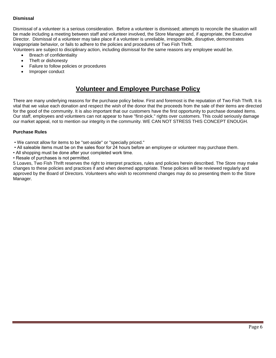#### **Dismissal**

Dismissal of a volunteer is a serious consideration. Before a volunteer is dismissed; attempts to reconcile the situation will be made including a meeting between staff and volunteer involved, the Store Manager and, if appropriate, the Executive Director. Dismissal of a volunteer may take place if a volunteer is unreliable, irresponsible, disruptive, demonstrates inappropriate behavior, or fails to adhere to the policies and procedures of Two Fish Thrift.

Volunteers are subject to disciplinary action, including dismissal for the same reasons any employee would be.

- Breach of confidentiality
- Theft or dishonesty
- Failure to follow policies or procedures
- Improper conduct

# **Volunteer and Employee Purchase Policy**

There are many underlying reasons for the purchase policy below. First and foremost is the reputation of Two Fish Thrift. It is vital that we value each donation and respect the wish of the donor that the proceeds from the sale of their items are directed for the good of the community. It is also important that our customers have the first opportunity to purchase donated items. Our staff, employees and volunteers can not appear to have "first-pick." rights over customers. This could seriously damage our market appeal, not to mention our integrity in the community. WE CAN NOT STRESS THIS CONCEPT ENOUGH.

#### **Purchase Rules**

- We cannot allow for items to be "set-aside" or "specially priced."
- All saleable items must be on the sales floor for 24 hours before an employee or volunteer may purchase them.
- All shopping must be done after your completed work time.
- Resale of purchases is not permitted.

5 Loaves, Two Fish Thrift reserves the right to interpret practices, rules and policies herein described. The Store may make changes to these policies and practices if and when deemed appropriate. These policies will be reviewed regularly and approved by the Board of Directors. Volunteers who wish to recommend changes may do so presenting them to the Store Manager.